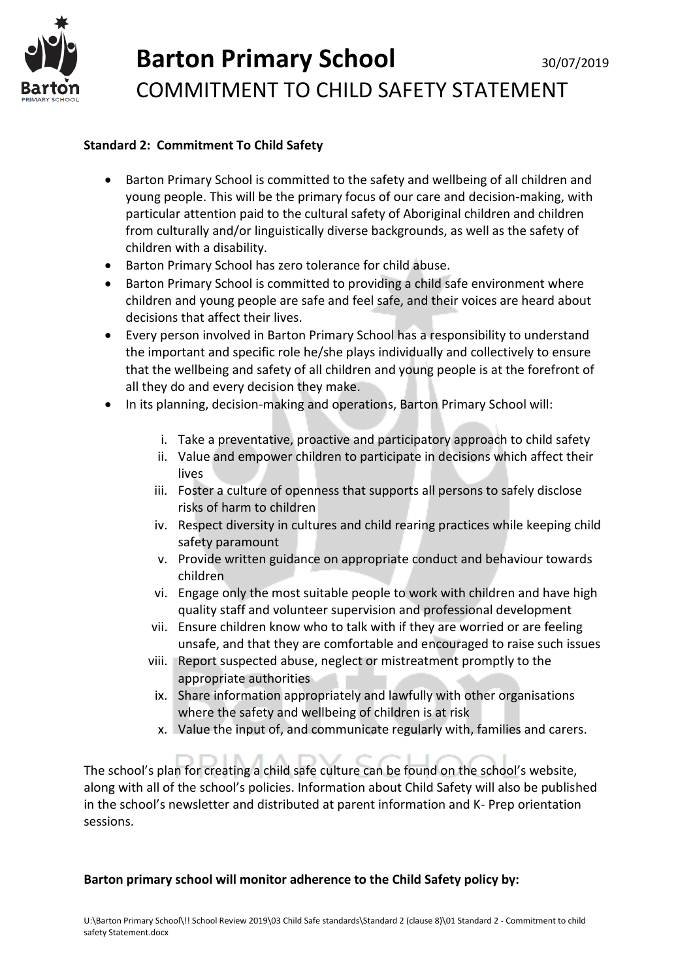

# Barton Primary School 30/07/2019 COMMITMENT TO CHILD SAFETY STATEMENT

### **Standard 2: Commitment To Child Safety**

- Barton Primary School is committed to the safety and wellbeing of all children and young people. This will be the primary focus of our care and decision-making, with particular attention paid to the cultural safety of Aboriginal children and children from culturally and/or linguistically diverse backgrounds, as well as the safety of children with a disability.
- Barton Primary School has zero tolerance for child abuse.
- Barton Primary School is committed to providing a child safe environment where children and young people are safe and feel safe, and their voices are heard about decisions that affect their lives.
- Every person involved in Barton Primary School has a responsibility to understand the important and specific role he/she plays individually and collectively to ensure that the wellbeing and safety of all children and young people is at the forefront of all they do and every decision they make.
- In its planning, decision-making and operations, Barton Primary School will:
	- i. Take a preventative, proactive and participatory approach to child safety
	- ii. Value and empower children to participate in decisions which affect their lives
	- iii. Foster a culture of openness that supports all persons to safely disclose risks of harm to children
	- iv. Respect diversity in cultures and child rearing practices while keeping child safety paramount
	- v. Provide written guidance on appropriate conduct and behaviour towards children
	- vi. Engage only the most suitable people to work with children and have high quality staff and volunteer supervision and professional development
	- vii. Ensure children know who to talk with if they are worried or are feeling unsafe, and that they are comfortable and encouraged to raise such issues
	- viii. Report suspected abuse, neglect or mistreatment promptly to the appropriate authorities
		- ix. Share information appropriately and lawfully with other organisations where the safety and wellbeing of children is at risk
		- x. Value the input of, and communicate regularly with, families and carers.

The school's plan for creating a child safe culture can be found on the school's website, along with all of the school's policies. Information about Child Safety will also be published in the school's newsletter and distributed at parent information and K- Prep orientation sessions.

#### **Barton primary school will monitor adherence to the Child Safety policy by:**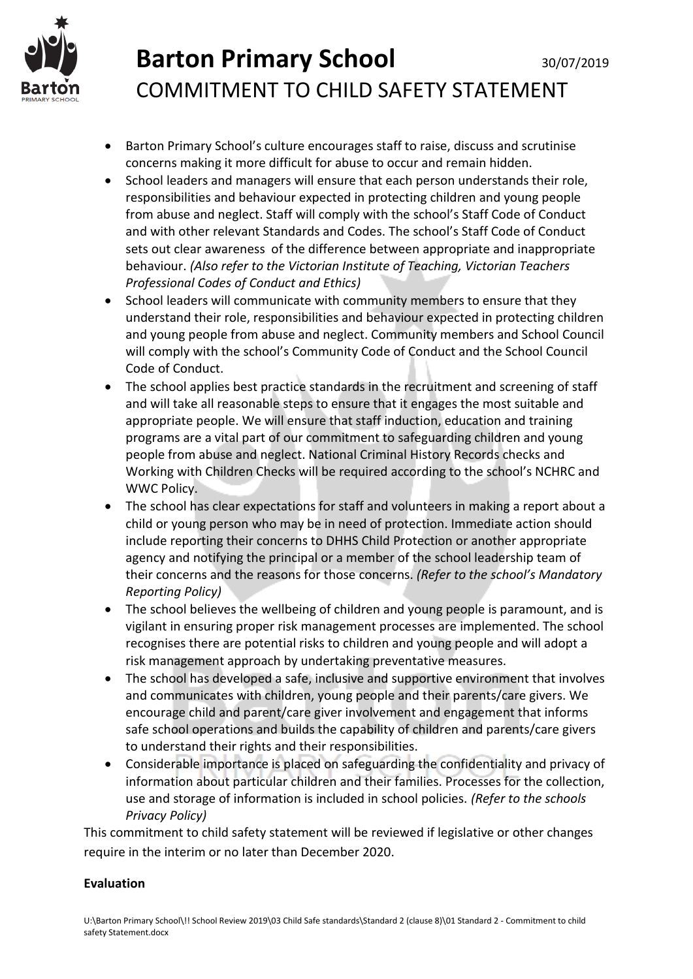

# **Barton Primary School** 30/07/2019 COMMITMENT TO CHILD SAFETY STATEMENT

- Barton Primary School's culture encourages staff to raise, discuss and scrutinise concerns making it more difficult for abuse to occur and remain hidden.
- School leaders and managers will ensure that each person understands their role, responsibilities and behaviour expected in protecting children and young people from abuse and neglect. Staff will comply with the school's Staff Code of Conduct and with other relevant Standards and Codes. The school's Staff Code of Conduct sets out clear awareness of the difference between appropriate and inappropriate behaviour. *(Also refer to the Victorian Institute of Teaching, Victorian Teachers Professional Codes of Conduct and Ethics)*
- School leaders will communicate with community members to ensure that they understand their role, responsibilities and behaviour expected in protecting children and young people from abuse and neglect. Community members and School Council will comply with the school's Community Code of Conduct and the School Council Code of Conduct.
- The school applies best practice standards in the recruitment and screening of staff and will take all reasonable steps to ensure that it engages the most suitable and appropriate people. We will ensure that staff induction, education and training programs are a vital part of our commitment to safeguarding children and young people from abuse and neglect. National Criminal History Records checks and Working with Children Checks will be required according to the school's NCHRC and WWC Policy.
- The school has clear expectations for staff and volunteers in making a report about a child or young person who may be in need of protection. Immediate action should include reporting their concerns to DHHS Child Protection or another appropriate agency and notifying the principal or a member of the school leadership team of their concerns and the reasons for those concerns. *(Refer to the school's Mandatory Reporting Policy)*
- The school believes the wellbeing of children and young people is paramount, and is vigilant in ensuring proper risk management processes are implemented. The school recognises there are potential risks to children and young people and will adopt a risk management approach by undertaking preventative measures.
- The school has developed a safe, inclusive and supportive environment that involves and communicates with children, young people and their parents/care givers. We encourage child and parent/care giver involvement and engagement that informs safe school operations and builds the capability of children and parents/care givers to understand their rights and their responsibilities.
- Considerable importance is placed on safeguarding the confidentiality and privacy of information about particular children and their families. Processes for the collection, use and storage of information is included in school policies. *(Refer to the schools Privacy Policy)*

This commitment to child safety statement will be reviewed if legislative or other changes require in the interim or no later than December 2020.

#### **Evaluation**